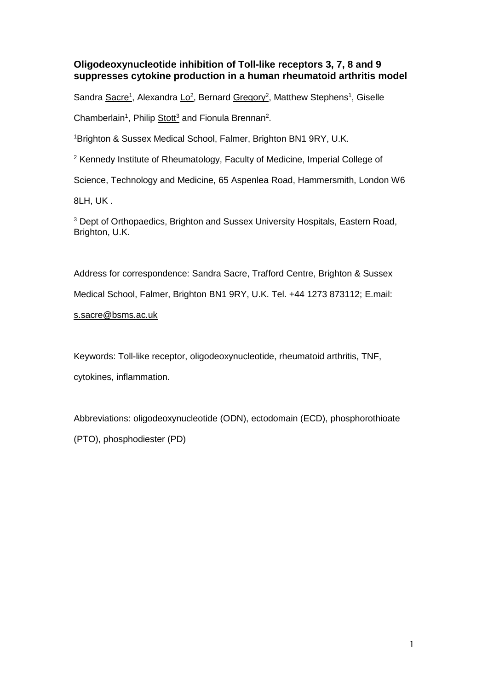# **Oligodeoxynucleotide inhibition of Toll-like receptors 3, 7, 8 and 9 suppresses cytokine production in a human rheumatoid arthritis model**

Sandra Sacre<sup>1</sup>, Alexandra Lo<sup>2</sup>, Bernard Gregory<sup>2</sup>, Matthew Stephens<sup>1</sup>, Giselle

Chamberlain<sup>1</sup>, Philip Stott<sup>3</sup> and Fionula Brennan<sup>2</sup>.

<sup>1</sup>Brighton & Sussex Medical School, Falmer, Brighton BN1 9RY, U.K.

<sup>2</sup> Kennedy Institute of Rheumatology, Faculty of Medicine, Imperial College of

Science, Technology and Medicine, 65 Aspenlea Road, Hammersmith, London W6

8LH, UK .

<sup>3</sup> Dept of Orthopaedics, Brighton and Sussex University Hospitals, Eastern Road, Brighton, U.K.

Address for correspondence: Sandra Sacre, Trafford Centre, Brighton & Sussex Medical School, Falmer, Brighton BN1 9RY, U.K. Tel. +44 1273 873112; E.mail: s.sacre@bsms.ac.uk

Keywords: Toll-like receptor, oligodeoxynucleotide, rheumatoid arthritis, TNF, cytokines, inflammation.

Abbreviations: oligodeoxynucleotide (ODN), ectodomain (ECD), phosphorothioate (PTO), phosphodiester (PD)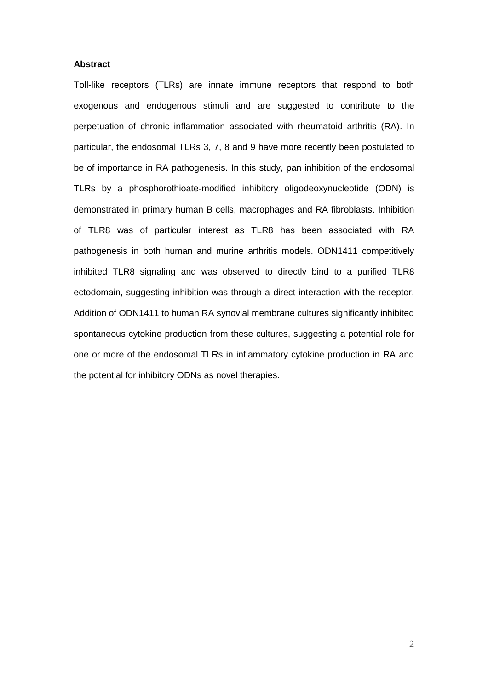# **Abstract**

Toll-like receptors (TLRs) are innate immune receptors that respond to both exogenous and endogenous stimuli and are suggested to contribute to the perpetuation of chronic inflammation associated with rheumatoid arthritis (RA). In particular, the endosomal TLRs 3, 7, 8 and 9 have more recently been postulated to be of importance in RA pathogenesis. In this study, pan inhibition of the endosomal TLRs by a phosphorothioate-modified inhibitory oligodeoxynucleotide (ODN) is demonstrated in primary human B cells, macrophages and RA fibroblasts. Inhibition of TLR8 was of particular interest as TLR8 has been associated with RA pathogenesis in both human and murine arthritis models. ODN1411 competitively inhibited TLR8 signaling and was observed to directly bind to a purified TLR8 ectodomain, suggesting inhibition was through a direct interaction with the receptor. Addition of ODN1411 to human RA synovial membrane cultures significantly inhibited spontaneous cytokine production from these cultures, suggesting a potential role for one or more of the endosomal TLRs in inflammatory cytokine production in RA and the potential for inhibitory ODNs as novel therapies.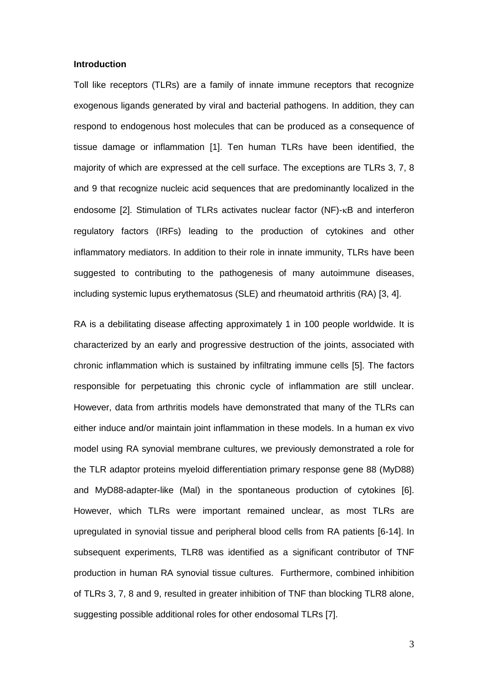## **Introduction**

Toll like receptors (TLRs) are a family of innate immune receptors that recognize exogenous ligands generated by viral and bacterial pathogens. In addition, they can respond to endogenous host molecules that can be produced as a consequence of tissue damage or inflammation [\[1\]](#page-17-0). Ten human TLRs have been identified, the majority of which are expressed at the cell surface. The exceptions are TLRs 3, 7, 8 and 9 that recognize nucleic acid sequences that are predominantly localized in the endosome  $[2]$ . Stimulation of TLRs activates nuclear factor  $(NF)$ - $\kappa B$  and interferon regulatory factors (IRFs) leading to the production of cytokines and other inflammatory mediators. In addition to their role in innate immunity, TLRs have been suggested to contributing to the pathogenesis of many autoimmune diseases, including systemic lupus erythematosus (SLE) and rheumatoid arthritis (RA) [\[3,](#page-17-2) [4\]](#page-17-3).

RA is a debilitating disease affecting approximately 1 in 100 people worldwide. It is characterized by an early and progressive destruction of the joints, associated with chronic inflammation which is sustained by infiltrating immune cells [\[5\]](#page-17-4). The factors responsible for perpetuating this chronic cycle of inflammation are still unclear. However, data from arthritis models have demonstrated that many of the TLRs can either induce and/or maintain joint inflammation in these models. In a human ex vivo model using RA synovial membrane cultures, we previously demonstrated a role for the TLR adaptor proteins myeloid differentiation primary response gene 88 (MyD88) and MyD88-adapter-like (Mal) in the spontaneous production of cytokines [\[6\]](#page-17-5). However, which TLRs were important remained unclear, as most TLRs are upregulated in synovial tissue and peripheral blood cells from RA patients [\[6-14\]](#page-17-5). In subsequent experiments, TLR8 was identified as a significant contributor of TNF production in human RA synovial tissue cultures. Furthermore, combined inhibition of TLRs 3, 7, 8 and 9, resulted in greater inhibition of TNF than blocking TLR8 alone, suggesting possible additional roles for other endosomal TLRs [\[7\]](#page-17-6).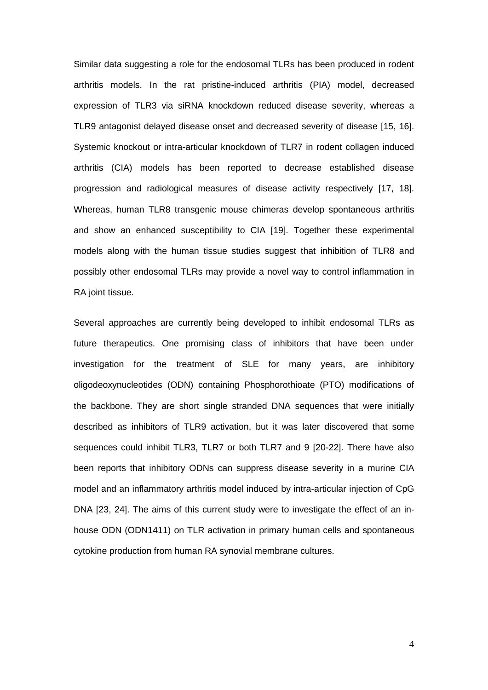Similar data suggesting a role for the endosomal TLRs has been produced in rodent arthritis models. In the rat pristine-induced arthritis (PIA) model, decreased expression of TLR3 via siRNA knockdown reduced disease severity, whereas a TLR9 antagonist delayed disease onset and decreased severity of disease [\[15,](#page-18-0) [16\]](#page-18-1). Systemic knockout or intra-articular knockdown of TLR7 in rodent collagen induced arthritis (CIA) models has been reported to decrease established disease progression and radiological measures of disease activity respectively [\[17,](#page-18-2) [18\]](#page-18-3). Whereas, human TLR8 transgenic mouse chimeras develop spontaneous arthritis and show an enhanced susceptibility to CIA [\[19\]](#page-18-4). Together these experimental models along with the human tissue studies suggest that inhibition of TLR8 and possibly other endosomal TLRs may provide a novel way to control inflammation in RA joint tissue.

Several approaches are currently being developed to inhibit endosomal TLRs as future therapeutics. One promising class of inhibitors that have been under investigation for the treatment of SLE for many years, are inhibitory oligodeoxynucleotides (ODN) containing Phosphorothioate (PTO) modifications of the backbone. They are short single stranded DNA sequences that were initially described as inhibitors of TLR9 activation, but it was later discovered that some sequences could inhibit TLR3, TLR7 or both TLR7 and 9 [\[20-22\]](#page-18-5). There have also been reports that inhibitory ODNs can suppress disease severity in a murine CIA model and an inflammatory arthritis model induced by intra-articular injection of CpG DNA [\[23,](#page-18-6) [24\]](#page-18-7). The aims of this current study were to investigate the effect of an inhouse ODN (ODN1411) on TLR activation in primary human cells and spontaneous cytokine production from human RA synovial membrane cultures.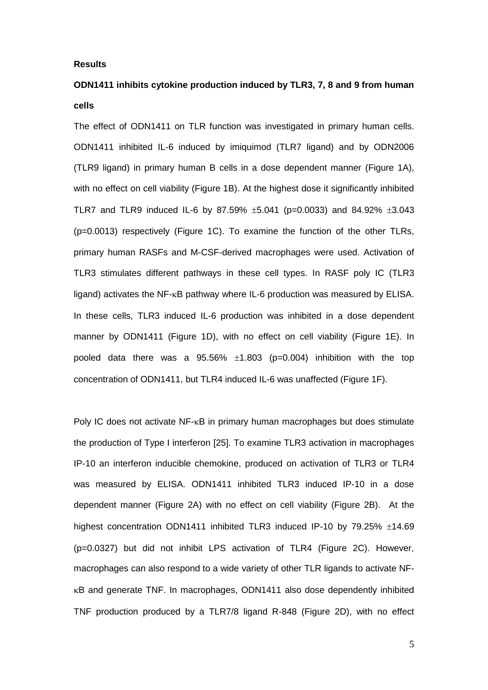## **Results**

# **ODN1411 inhibits cytokine production induced by TLR3, 7, 8 and 9 from human cells**

The effect of ODN1411 on TLR function was investigated in primary human cells. ODN1411 inhibited IL-6 induced by imiquimod (TLR7 ligand) and by ODN2006 (TLR9 ligand) in primary human B cells in a dose dependent manner (Figure 1A), with no effect on cell viability (Figure 1B). At the highest dose it significantly inhibited TLR7 and TLR9 induced IL-6 by 87.59%  $\pm$ 5.041 (p=0.0033) and 84.92%  $\pm$ 3.043 (p=0.0013) respectively (Figure 1C). To examine the function of the other TLRs, primary human RASFs and M-CSF-derived macrophages were used. Activation of TLR3 stimulates different pathways in these cell types. In RASF poly IC (TLR3 ligand) activates the  $NF$ - $\kappa$ B pathway where IL-6 production was measured by ELISA. In these cells, TLR3 induced IL-6 production was inhibited in a dose dependent manner by ODN1411 (Figure 1D), with no effect on cell viability (Figure 1E). In pooled data there was a  $95.56\%$   $\pm 1.803$  (p=0.004) inhibition with the top concentration of ODN1411, but TLR4 induced IL-6 was unaffected (Figure 1F).

Poly IC does not activate NF- $\kappa$ B in primary human macrophages but does stimulate the production of Type I interferon [\[25\]](#page-18-8). To examine TLR3 activation in macrophages IP-10 an interferon inducible chemokine, produced on activation of TLR3 or TLR4 was measured by ELISA. ODN1411 inhibited TLR3 induced IP-10 in a dose dependent manner (Figure 2A) with no effect on cell viability (Figure 2B). At the highest concentration ODN1411 inhibited TLR3 induced IP-10 by  $79.25\%$   $\pm$ 14.69 (p=0.0327) but did not inhibit LPS activation of TLR4 (Figure 2C). However, macrophages can also respond to a wide variety of other TLR ligands to activate NF- B and generate TNF. In macrophages, ODN1411 also dose dependently inhibited TNF production produced by a TLR7/8 ligand R-848 (Figure 2D), with no effect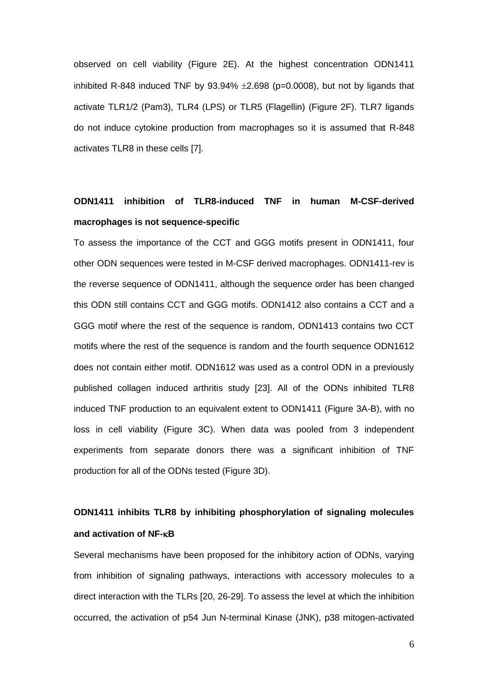observed on cell viability (Figure 2E). At the highest concentration ODN1411 inhibited R-848 induced TNF by  $93.94\% \pm 2.698$  (p=0.0008), but not by ligands that activate TLR1/2 (Pam3), TLR4 (LPS) or TLR5 (Flagellin) (Figure 2F), TLR7 ligands do not induce cytokine production from macrophages so it is assumed that R-848 activates TLR8 in these cells [\[7\]](#page-17-6).

# **ODN1411 inhibition of TLR8-induced TNF in human M-CSF-derived macrophages is not sequence-specific**

To assess the importance of the CCT and GGG motifs present in ODN1411, four other ODN sequences were tested in M-CSF derived macrophages. ODN1411-rev is the reverse sequence of ODN1411, although the sequence order has been changed this ODN still contains CCT and GGG motifs. ODN1412 also contains a CCT and a GGG motif where the rest of the sequence is random, ODN1413 contains two CCT motifs where the rest of the sequence is random and the fourth sequence ODN1612 does not contain either motif. ODN1612 was used as a control ODN in a previously published collagen induced arthritis study [\[23\]](#page-18-6). All of the ODNs inhibited TLR8 induced TNF production to an equivalent extent to ODN1411 (Figure 3A-B), with no loss in cell viability (Figure 3C). When data was pooled from 3 independent experiments from separate donors there was a significant inhibition of TNF production for all of the ODNs tested (Figure 3D).

# **ODN1411 inhibits TLR8 by inhibiting phosphorylation of signaling molecules and activation of NF-B**

Several mechanisms have been proposed for the inhibitory action of ODNs, varying from inhibition of signaling pathways, interactions with accessory molecules to a direct interaction with the TLRs [\[20,](#page-18-5) [26-29\]](#page-18-9). To assess the level at which the inhibition occurred, the activation of p54 Jun N-terminal Kinase (JNK), p38 mitogen-activated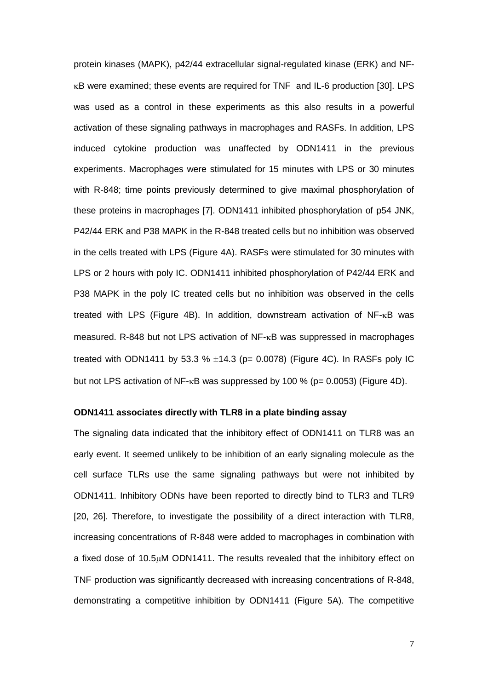protein kinases (MAPK), p42/44 extracellular signal-regulated kinase (ERK) and NF-  $\kappa$ B were examined; these events are required for TNF and IL-6 production [\[30\]](#page-19-0). LPS was used as a control in these experiments as this also results in a powerful activation of these signaling pathways in macrophages and RASFs. In addition, LPS induced cytokine production was unaffected by ODN1411 in the previous experiments. Macrophages were stimulated for 15 minutes with LPS or 30 minutes with R-848; time points previously determined to give maximal phosphorylation of these proteins in macrophages [\[7\]](#page-17-6). ODN1411 inhibited phosphorylation of p54 JNK, P42/44 ERK and P38 MAPK in the R-848 treated cells but no inhibition was observed in the cells treated with LPS (Figure 4A). RASFs were stimulated for 30 minutes with LPS or 2 hours with poly IC. ODN1411 inhibited phosphorylation of P42/44 ERK and P38 MAPK in the poly IC treated cells but no inhibition was observed in the cells treated with LPS (Figure 4B). In addition, downstream activation of  $NF$ - $\kappa$ B was measured. R-848 but not LPS activation of NF-<sub>K</sub>B was suppressed in macrophages treated with ODN1411 by 53.3 %  $\pm$ 14.3 (p= 0.0078) (Figure 4C). In RASFs poly IC but not LPS activation of NF- $\kappa$ B was suppressed by 100 % (p= 0.0053) (Figure 4D).

# **ODN1411 associates directly with TLR8 in a plate binding assay**

The signaling data indicated that the inhibitory effect of ODN1411 on TLR8 was an early event. It seemed unlikely to be inhibition of an early signaling molecule as the cell surface TLRs use the same signaling pathways but were not inhibited by ODN1411. Inhibitory ODNs have been reported to directly bind to TLR3 and TLR9 [\[20,](#page-18-5) [26\]](#page-18-9). Therefore, to investigate the possibility of a direct interaction with TLR8, increasing concentrations of R-848 were added to macrophages in combination with a fixed dose of  $10.5\mu$ M ODN1411. The results revealed that the inhibitory effect on TNF production was significantly decreased with increasing concentrations of R-848, demonstrating a competitive inhibition by ODN1411 (Figure 5A). The competitive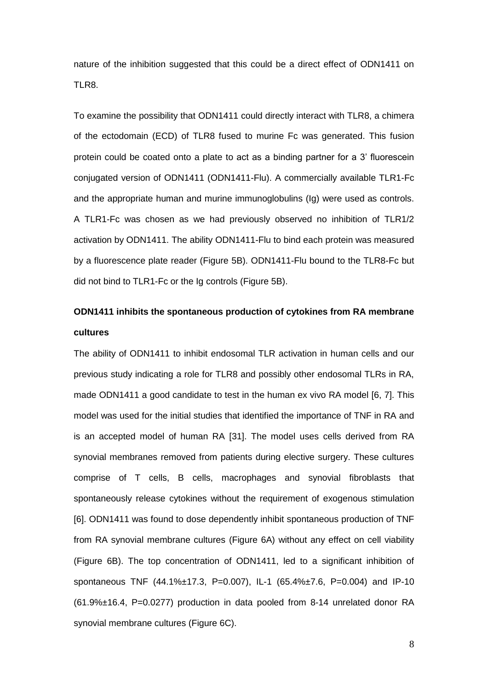nature of the inhibition suggested that this could be a direct effect of ODN1411 on TLR8.

To examine the possibility that ODN1411 could directly interact with TLR8, a chimera of the ectodomain (ECD) of TLR8 fused to murine Fc was generated. This fusion protein could be coated onto a plate to act as a binding partner for a 3' fluorescein conjugated version of ODN1411 (ODN1411-Flu). A commercially available TLR1-Fc and the appropriate human and murine immunoglobulins (Ig) were used as controls. A TLR1-Fc was chosen as we had previously observed no inhibition of TLR1/2 activation by ODN1411. The ability ODN1411-Flu to bind each protein was measured by a fluorescence plate reader (Figure 5B). ODN1411-Flu bound to the TLR8-Fc but did not bind to TLR1-Fc or the Ig controls (Figure 5B).

# **ODN1411 inhibits the spontaneous production of cytokines from RA membrane cultures**

The ability of ODN1411 to inhibit endosomal TLR activation in human cells and our previous study indicating a role for TLR8 and possibly other endosomal TLRs in RA, made ODN1411 a good candidate to test in the human ex vivo RA model [\[6,](#page-17-5) [7\]](#page-17-6). This model was used for the initial studies that identified the importance of TNF in RA and is an accepted model of human RA [\[31\]](#page-19-1). The model uses cells derived from RA synovial membranes removed from patients during elective surgery. These cultures comprise of T cells, B cells, macrophages and synovial fibroblasts that spontaneously release cytokines without the requirement of exogenous stimulation [\[6\]](#page-17-5). ODN1411 was found to dose dependently inhibit spontaneous production of TNF from RA synovial membrane cultures (Figure 6A) without any effect on cell viability (Figure 6B). The top concentration of ODN1411, led to a significant inhibition of spontaneous TNF (44.1%±17.3, P=0.007), IL-1 (65.4%±7.6, P=0.004) and IP-10 (61.9%±16.4, P=0.0277) production in data pooled from 8-14 unrelated donor RA synovial membrane cultures (Figure 6C).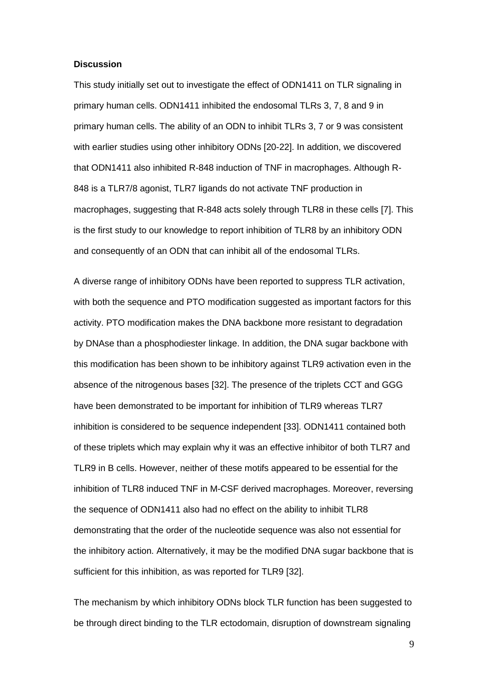## **Discussion**

This study initially set out to investigate the effect of ODN1411 on TLR signaling in primary human cells. ODN1411 inhibited the endosomal TLRs 3, 7, 8 and 9 in primary human cells. The ability of an ODN to inhibit TLRs 3, 7 or 9 was consistent with earlier studies using other inhibitory ODNs [\[20-22\]](#page-18-5). In addition, we discovered that ODN1411 also inhibited R-848 induction of TNF in macrophages. Although R-848 is a TLR7/8 agonist, TLR7 ligands do not activate TNF production in macrophages, suggesting that R-848 acts solely through TLR8 in these cells [\[7\]](#page-17-6). This is the first study to our knowledge to report inhibition of TLR8 by an inhibitory ODN and consequently of an ODN that can inhibit all of the endosomal TLRs.

A diverse range of inhibitory ODNs have been reported to suppress TLR activation, with both the sequence and PTO modification suggested as important factors for this activity. PTO modification makes the DNA backbone more resistant to degradation by DNAse than a phosphodiester linkage. In addition, the DNA sugar backbone with this modification has been shown to be inhibitory against TLR9 activation even in the absence of the nitrogenous bases [\[32\]](#page-19-2). The presence of the triplets CCT and GGG have been demonstrated to be important for inhibition of TLR9 whereas TLR7 inhibition is considered to be sequence independent [\[33\]](#page-19-3). ODN1411 contained both of these triplets which may explain why it was an effective inhibitor of both TLR7 and TLR9 in B cells. However, neither of these motifs appeared to be essential for the inhibition of TLR8 induced TNF in M-CSF derived macrophages. Moreover, reversing the sequence of ODN1411 also had no effect on the ability to inhibit TLR8 demonstrating that the order of the nucleotide sequence was also not essential for the inhibitory action. Alternatively, it may be the modified DNA sugar backbone that is sufficient for this inhibition, as was reported for TLR9 [\[32\]](#page-19-2).

The mechanism by which inhibitory ODNs block TLR function has been suggested to be through direct binding to the TLR ectodomain, disruption of downstream signaling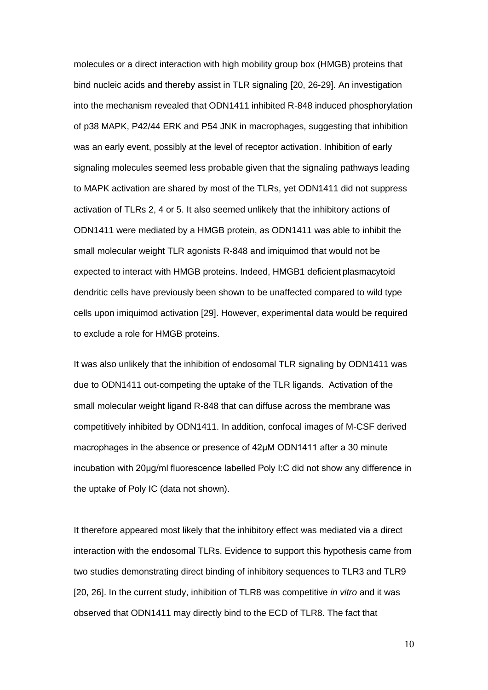molecules or a direct interaction with high mobility group box (HMGB) proteins that bind nucleic acids and thereby assist in TLR signaling [\[20,](#page-18-5) [26-29\]](#page-18-9). An investigation into the mechanism revealed that ODN1411 inhibited R-848 induced phosphorylation of p38 MAPK, P42/44 ERK and P54 JNK in macrophages, suggesting that inhibition was an early event, possibly at the level of receptor activation. Inhibition of early signaling molecules seemed less probable given that the signaling pathways leading to MAPK activation are shared by most of the TLRs, yet ODN1411 did not suppress activation of TLRs 2, 4 or 5. It also seemed unlikely that the inhibitory actions of ODN1411 were mediated by a HMGB protein, as ODN1411 was able to inhibit the small molecular weight TLR agonists R-848 and imiquimod that would not be expected to interact with HMGB proteins. Indeed, HMGB1 deficient plasmacytoid dendritic cells have previously been shown to be unaffected compared to wild type cells upon imiquimod activation [\[29\]](#page-19-4). However, experimental data would be required to exclude a role for HMGB proteins.

It was also unlikely that the inhibition of endosomal TLR signaling by ODN1411 was due to ODN1411 out-competing the uptake of the TLR ligands. Activation of the small molecular weight ligand R-848 that can diffuse across the membrane was competitively inhibited by ODN1411. In addition, confocal images of M-CSF derived macrophages in the absence or presence of 42μM ODN1411 after a 30 minute incubation with 20μg/ml fluorescence labelled Poly I:C did not show any difference in the uptake of Poly IC (data not shown).

It therefore appeared most likely that the inhibitory effect was mediated via a direct interaction with the endosomal TLRs. Evidence to support this hypothesis came from two studies demonstrating direct binding of inhibitory sequences to TLR3 and TLR9 [\[20,](#page-18-5) [26\]](#page-18-9). In the current study, inhibition of TLR8 was competitive *in vitro* and it was observed that ODN1411 may directly bind to the ECD of TLR8. The fact that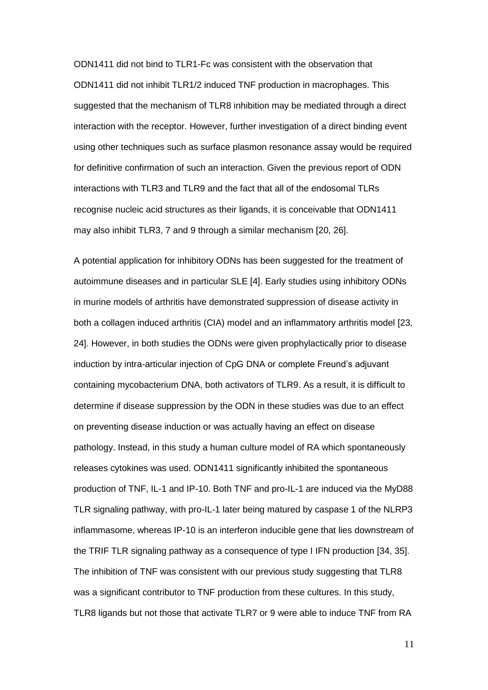ODN1411 did not bind to TLR1-Fc was consistent with the observation that ODN1411 did not inhibit TLR1/2 induced TNF production in macrophages. This suggested that the mechanism of TLR8 inhibition may be mediated through a direct interaction with the receptor. However, further investigation of a direct binding event using other techniques such as surface plasmon resonance assay would be required for definitive confirmation of such an interaction. Given the previous report of ODN interactions with TLR3 and TLR9 and the fact that all of the endosomal TLRs recognise nucleic acid structures as their ligands, it is conceivable that ODN1411 may also inhibit TLR3, 7 and 9 through a similar mechanism [\[20,](#page-18-5) [26\]](#page-18-9).

A potential application for inhibitory ODNs has been suggested for the treatment of autoimmune diseases and in particular SLE [\[4\]](#page-17-3). Early studies using inhibitory ODNs in murine models of arthritis have demonstrated suppression of disease activity in both a collagen induced arthritis (CIA) model and an inflammatory arthritis model [\[23,](#page-18-6) [24\]](#page-18-7). However, in both studies the ODNs were given prophylactically prior to disease induction by intra-articular injection of CpG DNA or complete Freund's adjuvant containing mycobacterium DNA, both activators of TLR9. As a result, it is difficult to determine if disease suppression by the ODN in these studies was due to an effect on preventing disease induction or was actually having an effect on disease pathology. Instead, in this study a human culture model of RA which spontaneously releases cytokines was used. ODN1411 significantly inhibited the spontaneous production of TNF, IL-1 and IP-10. Both TNF and pro-IL-1 are induced via the MyD88 TLR signaling pathway, with pro-IL-1 later being matured by caspase 1 of the NLRP3 inflammasome, whereas IP-10 is an interferon inducible gene that lies downstream of the TRIF TLR signaling pathway as a consequence of type I IFN production [\[34,](#page-19-5) [35\]](#page-19-6). The inhibition of TNF was consistent with our previous study suggesting that TLR8 was a significant contributor to TNF production from these cultures. In this study, TLR8 ligands but not those that activate TLR7 or 9 were able to induce TNF from RA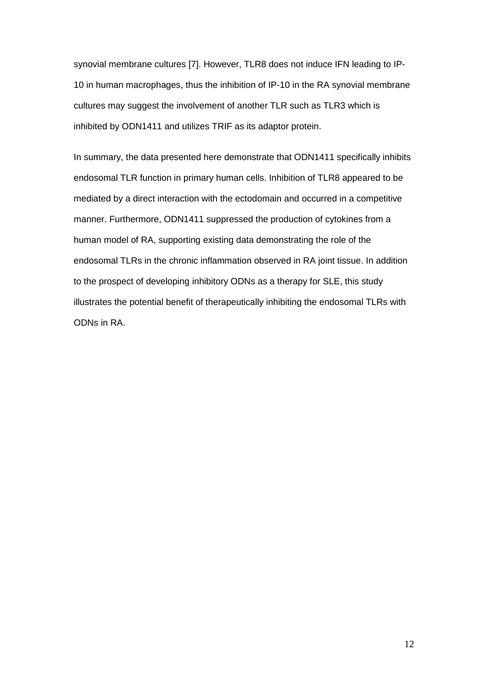synovial membrane cultures [\[7\]](#page-17-6). However, TLR8 does not induce IFN leading to IP-10 in human macrophages, thus the inhibition of IP-10 in the RA synovial membrane cultures may suggest the involvement of another TLR such as TLR3 which is inhibited by ODN1411 and utilizes TRIF as its adaptor protein.

In summary, the data presented here demonstrate that ODN1411 specifically inhibits endosomal TLR function in primary human cells. Inhibition of TLR8 appeared to be mediated by a direct interaction with the ectodomain and occurred in a competitive manner. Furthermore, ODN1411 suppressed the production of cytokines from a human model of RA, supporting existing data demonstrating the role of the endosomal TLRs in the chronic inflammation observed in RA joint tissue. In addition to the prospect of developing inhibitory ODNs as a therapy for SLE, this study illustrates the potential benefit of therapeutically inhibiting the endosomal TLRs with ODNs in RA.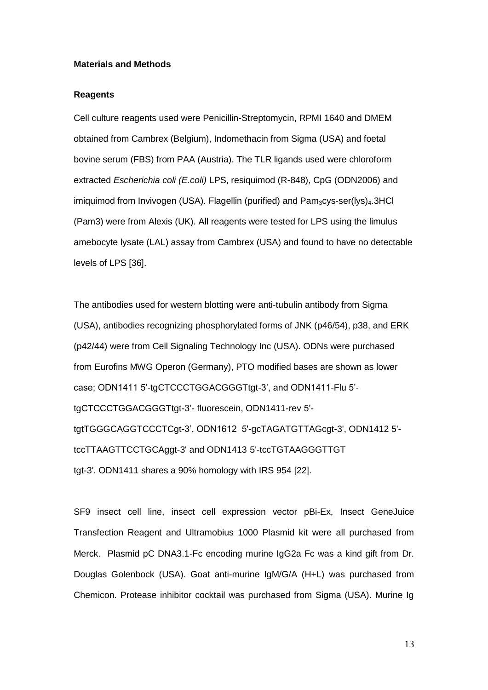# **Materials and Methods**

# **Reagents**

Cell culture reagents used were Penicillin-Streptomycin, RPMI 1640 and DMEM obtained from Cambrex (Belgium), Indomethacin from Sigma (USA) and foetal bovine serum (FBS) from PAA (Austria). The TLR ligands used were chloroform extracted *Escherichia coli (E.coli)* LPS, resiquimod (R-848), CpG (ODN2006) and imiquimod from Invivogen (USA). Flagellin (purified) and Pam<sub>3</sub>cys-ser(lys)<sub>4</sub>.3HCl (Pam3) were from Alexis (UK). All reagents were tested for LPS using the limulus amebocyte lysate (LAL) assay from Cambrex (USA) and found to have no detectable levels of LPS [\[36\]](#page-19-7).

The antibodies used for western blotting were anti-tubulin antibody from Sigma (USA), antibodies recognizing phosphorylated forms of JNK (p46/54), p38, and ERK (p42/44) were from Cell Signaling Technology Inc (USA). ODNs were purchased from Eurofins MWG Operon (Germany), PTO modified bases are shown as lower case; ODN1411 5'-tgCTCCCTGGACGGGTtgt-3', and ODN1411-Flu 5' tgCTCCCTGGACGGGTtgt-3'- fluorescein, ODN1411-rev 5' tgtTGGGCAGGTCCCTCgt-3', ODN1612 5'-gcTAGATGTTAGcgt-3', ODN1412 5' tccTTAAGTTCCTGCAggt-3' and ODN1413 5'-tccTGTAAGGGTTGT tgt-3'. ODN1411 shares a 90% homology with IRS 954 [\[22\]](#page-18-10).

SF9 insect cell line, insect cell expression vector pBi-Ex, Insect GeneJuice Transfection Reagent and Ultramobius 1000 Plasmid kit were all purchased from Merck. Plasmid pC DNA3.1-Fc encoding murine IgG2a Fc was a kind gift from Dr. Douglas Golenbock (USA). Goat anti-murine IgM/G/A (H+L) was purchased from Chemicon. Protease inhibitor cocktail was purchased from Sigma (USA). Murine Ig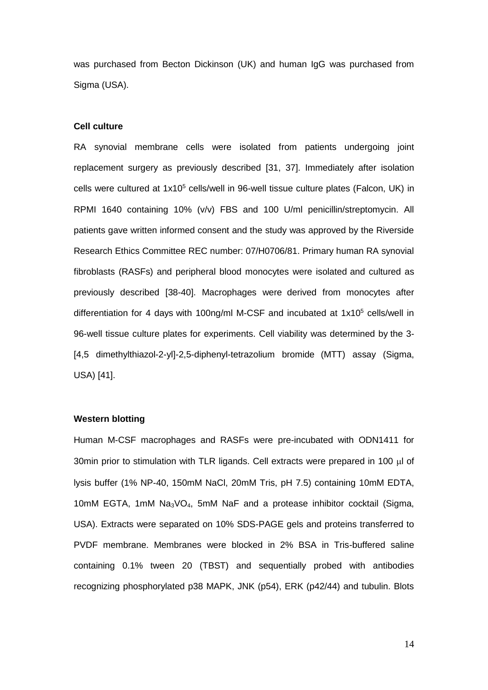was purchased from Becton Dickinson (UK) and human IgG was purchased from Sigma (USA).

#### **Cell culture**

RA synovial membrane cells were isolated from patients undergoing joint replacement surgery as previously described [\[31,](#page-19-1) [37\]](#page-19-8). Immediately after isolation cells were cultured at 1x10<sup>5</sup> cells/well in 96-well tissue culture plates (Falcon, UK) in RPMI 1640 containing 10% (v/v) FBS and 100 U/ml penicillin/streptomycin. All patients gave written informed consent and the study was approved by the Riverside Research Ethics Committee REC number: 07/H0706/81. Primary human RA synovial fibroblasts (RASFs) and peripheral blood monocytes were isolated and cultured as previously described [\[38-40\]](#page-19-9). Macrophages were derived from monocytes after differentiation for 4 days with 100ng/ml M-CSF and incubated at 1x10<sup>5</sup> cells/well in 96-well tissue culture plates for experiments. Cell viability was determined by the 3- [4,5 dimethylthiazol-2-yl]-2,5-diphenyl-tetrazolium bromide (MTT) assay (Sigma, USA) [\[41\]](#page-20-0).

# **Western blotting**

Human M-CSF macrophages and RASFs were pre-incubated with ODN1411 for 30min prior to stimulation with TLR ligands. Cell extracts were prepared in 100  $\mu$ l of lysis buffer (1% NP-40, 150mM NaCl, 20mM Tris, pH 7.5) containing 10mM EDTA, 10mM EGTA, 1mM Na3VO4, 5mM NaF and a protease inhibitor cocktail (Sigma, USA). Extracts were separated on 10% SDS-PAGE gels and proteins transferred to PVDF membrane. Membranes were blocked in 2% BSA in Tris-buffered saline containing 0.1% tween 20 (TBST) and sequentially probed with antibodies recognizing phosphorylated p38 MAPK, JNK (p54), ERK (p42/44) and tubulin. Blots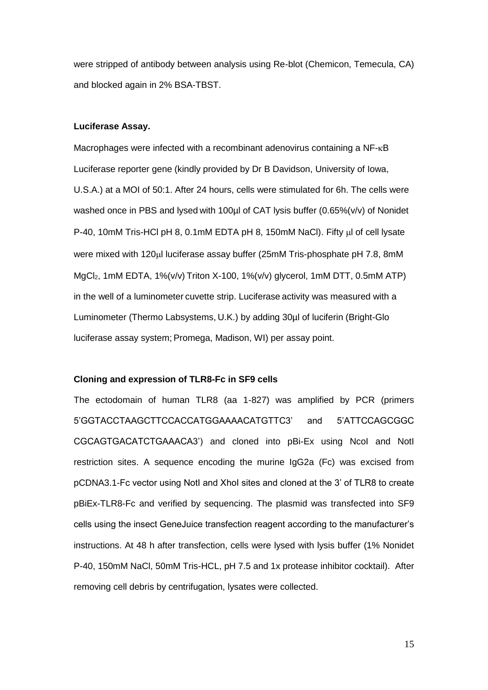were stripped of antibody between analysis using Re-blot (Chemicon, Temecula, CA) and blocked again in 2% BSA-TBST.

### **Luciferase Assay.**

Macrophages were infected with a recombinant adenovirus containing a NF- $\kappa$ B Luciferase reporter gene (kindly provided by Dr B Davidson, University of Iowa, U.S.A.) at a MOI of 50:1. After 24 hours, cells were stimulated for 6h. The cells were washed once in PBS and lysed with 100ul of CAT lysis buffer (0.65%(v/v) of Nonidet P-40, 10mM Tris-HCl pH 8, 0.1mM EDTA pH 8, 150mM NaCl). Fifty ul of cell lysate were mixed with 120ul luciferase assay buffer (25mM Tris-phosphate pH 7.8, 8mM MgCl2, 1mM EDTA, 1%(v/v) Triton X-100, 1%(v/v) glycerol, 1mM DTT, 0.5mM ATP) in the well of a luminometer cuvette strip. Luciferase activity was measured with a Luminometer (Thermo Labsystems, U.K.) by adding 30µl of luciferin (Bright-Glo luciferase assay system; Promega, Madison, WI) per assay point.

#### **Cloning and expression of TLR8-Fc in SF9 cells**

The ectodomain of human TLR8 (aa 1-827) was amplified by PCR (primers 5'GGTACCTAAGCTTCCACCATGGAAAACATGTTC3' and 5'ATTCCAGCGGC CGCAGTGACATCTGAAACA3') and cloned into pBi-Ex using NcoI and NotI restriction sites. A sequence encoding the murine IgG2a (Fc) was excised from pCDNA3.1-Fc vector using NotI and XhoI sites and cloned at the 3' of TLR8 to create pBiEx-TLR8-Fc and verified by sequencing. The plasmid was transfected into SF9 cells using the insect GeneJuice transfection reagent according to the manufacturer's instructions. At 48 h after transfection, cells were lysed with lysis buffer (1% Nonidet P-40, 150mM NaCl, 50mM Tris-HCL, pH 7.5 and 1x protease inhibitor cocktail). After removing cell debris by centrifugation, lysates were collected.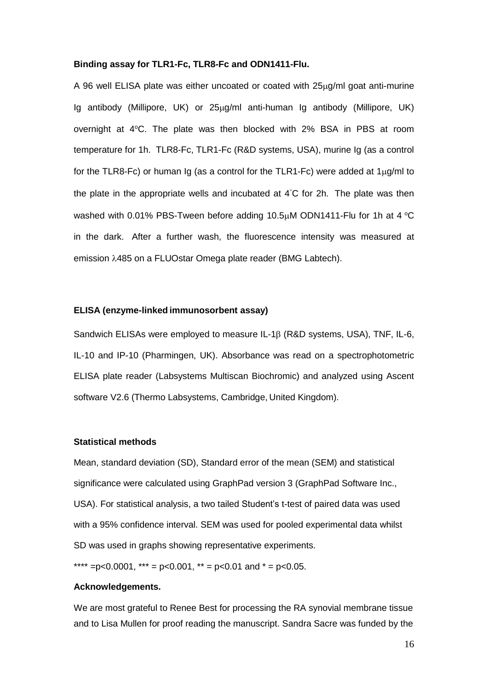## **Binding assay for TLR1-Fc, TLR8-Fc and ODN1411-Flu.**

A 96 well ELISA plate was either uncoated or coated with  $25\mu$ g/ml goat anti-murine Ig antibody (Millipore, UK) or 25ug/ml anti-human Ig antibody (Millipore, UK) overnight at  $4^{\circ}$ C. The plate was then blocked with 2% BSA in PBS at room temperature for 1h. TLR8-Fc, TLR1-Fc (R&D systems, USA), murine Ig (as a control for the TLR8-Fc) or human Ig (as a control for the TLR1-Fc) were added at  $1\mu g/ml$  to the plate in the appropriate wells and incubated at  $4^\circ$ C for 2h. The plate was then washed with 0.01% PBS-Tween before adding 10.5 $\mu$ M ODN1411-Flu for 1h at 4 °C in the dark. After a further wash, the fluorescence intensity was measured at emission 485 on a FLUOstar Omega plate reader (BMG Labtech).

# **ELISA (enzyme-linked immunosorbent assay)**

Sandwich ELISAs were employed to measure IL-1 $\beta$  (R&D systems, USA), TNF, IL-6, IL-10 and IP-10 (Pharmingen, UK). Absorbance was read on a spectrophotometric ELISA plate reader (Labsystems Multiscan Biochromic) and analyzed using Ascent software V2.6 (Thermo Labsystems, Cambridge, United Kingdom).

#### **Statistical methods**

Mean, standard deviation (SD), Standard error of the mean (SEM) and statistical significance were calculated using GraphPad version 3 (GraphPad Software Inc., USA). For statistical analysis, a two tailed Student's t-test of paired data was used with a 95% confidence interval. SEM was used for pooled experimental data whilst SD was used in graphs showing representative experiments.

\*\*\*\* = p< 0.0001, \*\*\* = p < 0.001, \*\* = p < 0.01 and  $* = p$  < 0.05.

# **Acknowledgements.**

We are most grateful to Renee Best for processing the RA synovial membrane tissue and to Lisa Mullen for proof reading the manuscript. Sandra Sacre was funded by the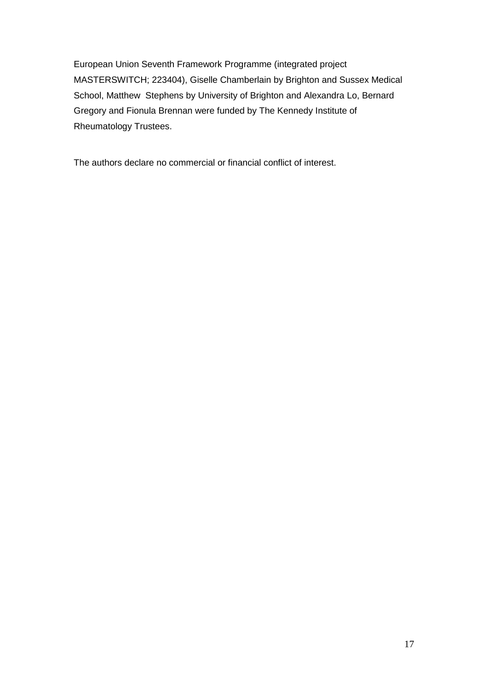European Union Seventh Framework Programme (integrated project MASTERSWITCH; 223404), Giselle Chamberlain by Brighton and Sussex Medical School, Matthew Stephens by University of Brighton and Alexandra Lo, Bernard Gregory and Fionula Brennan were funded by The Kennedy Institute of Rheumatology Trustees.

The authors declare no commercial or financial conflict of interest.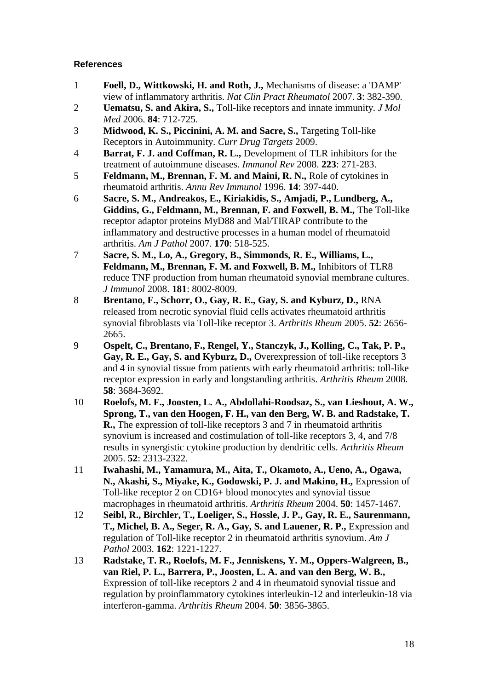# **References**

- <span id="page-17-0"></span>1 **Foell, D., Wittkowski, H. and Roth, J.,** Mechanisms of disease: a 'DAMP' view of inflammatory arthritis. *Nat Clin Pract Rheumatol* 2007. **3**: 382-390.
- <span id="page-17-1"></span>2 **Uematsu, S. and Akira, S.,** Toll-like receptors and innate immunity. *J Mol Med* 2006. **84**: 712-725.
- <span id="page-17-2"></span>3 **Midwood, K. S., Piccinini, A. M. and Sacre, S.,** Targeting Toll-like Receptors in Autoimmunity. *Curr Drug Targets* 2009.
- <span id="page-17-3"></span>4 **Barrat, F. J. and Coffman, R. L.,** Development of TLR inhibitors for the treatment of autoimmune diseases. *Immunol Rev* 2008. **223**: 271-283.
- <span id="page-17-4"></span>5 **Feldmann, M., Brennan, F. M. and Maini, R. N.,** Role of cytokines in rheumatoid arthritis. *Annu Rev Immunol* 1996. **14**: 397-440.
- <span id="page-17-5"></span>6 **Sacre, S. M., Andreakos, E., Kiriakidis, S., Amjadi, P., Lundberg, A., Giddins, G., Feldmann, M., Brennan, F. and Foxwell, B. M.,** The Toll-like receptor adaptor proteins MyD88 and Mal/TIRAP contribute to the inflammatory and destructive processes in a human model of rheumatoid arthritis. *Am J Pathol* 2007. **170**: 518-525.
- <span id="page-17-6"></span>7 **Sacre, S. M., Lo, A., Gregory, B., Simmonds, R. E., Williams, L., Feldmann, M., Brennan, F. M. and Foxwell, B. M.,** Inhibitors of TLR8 reduce TNF production from human rheumatoid synovial membrane cultures. *J Immunol* 2008. **181**: 8002-8009.
- 8 **Brentano, F., Schorr, O., Gay, R. E., Gay, S. and Kyburz, D.,** RNA released from necrotic synovial fluid cells activates rheumatoid arthritis synovial fibroblasts via Toll-like receptor 3. *Arthritis Rheum* 2005. **52**: 2656- 2665.
- 9 **Ospelt, C., Brentano, F., Rengel, Y., Stanczyk, J., Kolling, C., Tak, P. P., Gay, R. E., Gay, S. and Kyburz, D.,** Overexpression of toll-like receptors 3 and 4 in synovial tissue from patients with early rheumatoid arthritis: toll-like receptor expression in early and longstanding arthritis. *Arthritis Rheum* 2008. **58**: 3684-3692.
- 10 **Roelofs, M. F., Joosten, L. A., Abdollahi-Roodsaz, S., van Lieshout, A. W., Sprong, T., van den Hoogen, F. H., van den Berg, W. B. and Radstake, T. R.,** The expression of toll-like receptors 3 and 7 in rheumatoid arthritis synovium is increased and costimulation of toll-like receptors 3, 4, and 7/8 results in synergistic cytokine production by dendritic cells. *Arthritis Rheum* 2005. **52**: 2313-2322.
- 11 **Iwahashi, M., Yamamura, M., Aita, T., Okamoto, A., Ueno, A., Ogawa, N., Akashi, S., Miyake, K., Godowski, P. J. and Makino, H.,** Expression of Toll-like receptor 2 on CD16+ blood monocytes and synovial tissue macrophages in rheumatoid arthritis. *Arthritis Rheum* 2004. **50**: 1457-1467.
- 12 **Seibl, R., Birchler, T., Loeliger, S., Hossle, J. P., Gay, R. E., Saurenmann, T., Michel, B. A., Seger, R. A., Gay, S. and Lauener, R. P.,** Expression and regulation of Toll-like receptor 2 in rheumatoid arthritis synovium. *Am J Pathol* 2003. **162**: 1221-1227.
- 13 **Radstake, T. R., Roelofs, M. F., Jenniskens, Y. M., Oppers-Walgreen, B., van Riel, P. L., Barrera, P., Joosten, L. A. and van den Berg, W. B.,** Expression of toll-like receptors 2 and 4 in rheumatoid synovial tissue and regulation by proinflammatory cytokines interleukin-12 and interleukin-18 via interferon-gamma. *Arthritis Rheum* 2004. **50**: 3856-3865.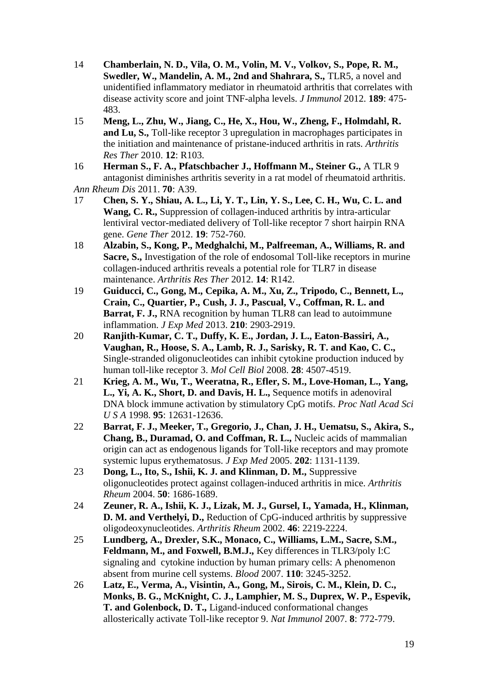- 14 **Chamberlain, N. D., Vila, O. M., Volin, M. V., Volkov, S., Pope, R. M., Swedler, W., Mandelin, A. M., 2nd and Shahrara, S.,** TLR5, a novel and unidentified inflammatory mediator in rheumatoid arthritis that correlates with disease activity score and joint TNF-alpha levels. *J Immunol* 2012. **189**: 475- 483.
- <span id="page-18-0"></span>15 **Meng, L., Zhu, W., Jiang, C., He, X., Hou, W., Zheng, F., Holmdahl, R. and Lu, S.,** Toll-like receptor 3 upregulation in macrophages participates in the initiation and maintenance of pristane-induced arthritis in rats. *Arthritis Res Ther* 2010. **12**: R103.
- <span id="page-18-1"></span>16 **Herman S., F. A., Pfatschbacher J., Hoffmann M., Steiner G.,** A TLR 9 antagonist diminishes arthritis severity in a rat model of rheumatoid arthritis. *Ann Rheum Dis* 2011. **70**: A39.
- <span id="page-18-2"></span>17 **Chen, S. Y., Shiau, A. L., Li, Y. T., Lin, Y. S., Lee, C. H., Wu, C. L. and Wang, C. R.,** Suppression of collagen-induced arthritis by intra-articular lentiviral vector-mediated delivery of Toll-like receptor 7 short hairpin RNA gene. *Gene Ther* 2012. **19**: 752-760.
- <span id="page-18-3"></span>18 **Alzabin, S., Kong, P., Medghalchi, M., Palfreeman, A., Williams, R. and Sacre, S.,** Investigation of the role of endosomal Toll-like receptors in murine collagen-induced arthritis reveals a potential role for TLR7 in disease maintenance. *Arthritis Res Ther* 2012. **14**: R142.
- <span id="page-18-4"></span>19 **Guiducci, C., Gong, M., Cepika, A. M., Xu, Z., Tripodo, C., Bennett, L., Crain, C., Quartier, P., Cush, J. J., Pascual, V., Coffman, R. L. and Barrat, F. J., RNA** recognition by human TLR8 can lead to autoimmune inflammation. *J Exp Med* 2013. **210**: 2903-2919.
- <span id="page-18-5"></span>20 **Ranjith-Kumar, C. T., Duffy, K. E., Jordan, J. L., Eaton-Bassiri, A., Vaughan, R., Hoose, S. A., Lamb, R. J., Sarisky, R. T. and Kao, C. C.,** Single-stranded oligonucleotides can inhibit cytokine production induced by human toll-like receptor 3. *Mol Cell Biol* 2008. **28**: 4507-4519.
- 21 **Krieg, A. M., Wu, T., Weeratna, R., Efler, S. M., Love-Homan, L., Yang, L., Yi, A. K., Short, D. and Davis, H. L.,** Sequence motifs in adenoviral DNA block immune activation by stimulatory CpG motifs. *Proc Natl Acad Sci U S A* 1998. **95**: 12631-12636.
- <span id="page-18-10"></span>22 **Barrat, F. J., Meeker, T., Gregorio, J., Chan, J. H., Uematsu, S., Akira, S., Chang, B., Duramad, O. and Coffman, R. L.,** Nucleic acids of mammalian origin can act as endogenous ligands for Toll-like receptors and may promote systemic lupus erythematosus. *J Exp Med* 2005. **202**: 1131-1139.
- <span id="page-18-6"></span>23 **Dong, L., Ito, S., Ishii, K. J. and Klinman, D. M.,** Suppressive oligonucleotides protect against collagen-induced arthritis in mice. *Arthritis Rheum* 2004. **50**: 1686-1689.
- <span id="page-18-7"></span>24 **Zeuner, R. A., Ishii, K. J., Lizak, M. J., Gursel, I., Yamada, H., Klinman, D. M. and Verthelyi, D., Reduction of CpG-induced arthritis by suppressive** oligodeoxynucleotides. *Arthritis Rheum* 2002. **46**: 2219-2224.
- <span id="page-18-8"></span>25 **Lundberg, A., Drexler, S.K., Monaco, C., Williams, L.M., Sacre, S.M., Feldmann, M., and Foxwell, B.M.J.,** Key differences in TLR3/poly I:C signaling and cytokine induction by human primary cells: A phenomenon absent from murine cell systems. *Blood* 2007. **110**: 3245-3252.
- <span id="page-18-9"></span>26 **Latz, E., Verma, A., Visintin, A., Gong, M., Sirois, C. M., Klein, D. C., Monks, B. G., McKnight, C. J., Lamphier, M. S., Duprex, W. P., Espevik, T. and Golenbock, D. T.,** Ligand-induced conformational changes allosterically activate Toll-like receptor 9. *Nat Immunol* 2007. **8**: 772-779.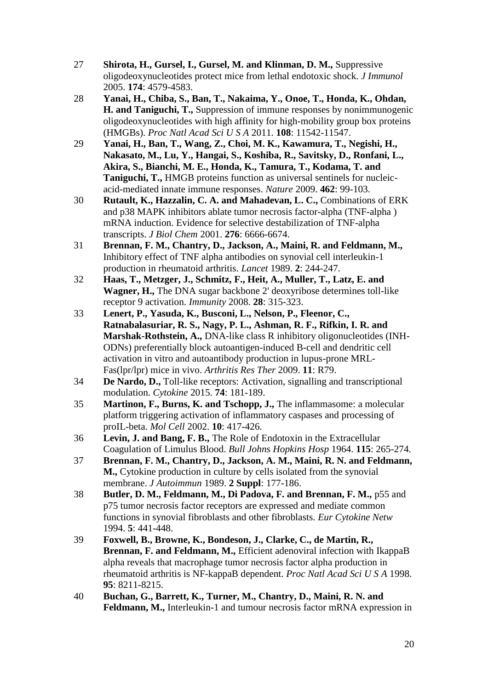- 27 **Shirota, H., Gursel, I., Gursel, M. and Klinman, D. M.,** Suppressive oligodeoxynucleotides protect mice from lethal endotoxic shock. *J Immunol* 2005. **174**: 4579-4583.
- 28 **Yanai, H., Chiba, S., Ban, T., Nakaima, Y., Onoe, T., Honda, K., Ohdan, H. and Taniguchi, T.,** Suppression of immune responses by nonimmunogenic oligodeoxynucleotides with high affinity for high-mobility group box proteins (HMGBs). *Proc Natl Acad Sci U S A* 2011. **108**: 11542-11547.
- <span id="page-19-4"></span>29 **Yanai, H., Ban, T., Wang, Z., Choi, M. K., Kawamura, T., Negishi, H., Nakasato, M., Lu, Y., Hangai, S., Koshiba, R., Savitsky, D., Ronfani, L., Akira, S., Bianchi, M. E., Honda, K., Tamura, T., Kodama, T. and Taniguchi, T.,** HMGB proteins function as universal sentinels for nucleicacid-mediated innate immune responses. *Nature* 2009. **462**: 99-103.
- <span id="page-19-0"></span>30 **Rutault, K., Hazzalin, C. A. and Mahadevan, L. C.,** Combinations of ERK and p38 MAPK inhibitors ablate tumor necrosis factor-alpha (TNF-alpha ) mRNA induction. Evidence for selective destabilization of TNF-alpha transcripts. *J Biol Chem* 2001. **276**: 6666-6674.
- <span id="page-19-1"></span>31 **Brennan, F. M., Chantry, D., Jackson, A., Maini, R. and Feldmann, M.,** Inhibitory effect of TNF alpha antibodies on synovial cell interleukin-1 production in rheumatoid arthritis. *Lancet* 1989. **2**: 244-247.
- <span id="page-19-2"></span>32 **Haas, T., Metzger, J., Schmitz, F., Heit, A., Muller, T., Latz, E. and Wagner, H.,** The DNA sugar backbone 2' deoxyribose determines toll-like receptor 9 activation. *Immunity* 2008. **28**: 315-323.
- <span id="page-19-3"></span>33 **Lenert, P., Yasuda, K., Busconi, L., Nelson, P., Fleenor, C., Ratnabalasuriar, R. S., Nagy, P. L., Ashman, R. F., Rifkin, I. R. and Marshak-Rothstein, A.,** DNA-like class R inhibitory oligonucleotides (INH-ODNs) preferentially block autoantigen-induced B-cell and dendritic cell activation in vitro and autoantibody production in lupus-prone MRL-Fas(lpr/lpr) mice in vivo. *Arthritis Res Ther* 2009. **11**: R79.
- <span id="page-19-5"></span>34 **De Nardo, D.,** Toll-like receptors: Activation, signalling and transcriptional modulation. *Cytokine* 2015. **74**: 181-189.
- <span id="page-19-6"></span>35 **Martinon, F., Burns, K. and Tschopp, J.,** The inflammasome: a molecular platform triggering activation of inflammatory caspases and processing of proIL-beta. *Mol Cell* 2002. **10**: 417-426.
- <span id="page-19-7"></span>36 **Levin, J. and Bang, F. B.,** The Role of Endotoxin in the Extracellular Coagulation of Limulus Blood. *Bull Johns Hopkins Hosp* 1964. **115**: 265-274.
- <span id="page-19-8"></span>37 **Brennan, F. M., Chantry, D., Jackson, A. M., Maini, R. N. and Feldmann, M.,** Cytokine production in culture by cells isolated from the synovial membrane. *J Autoimmun* 1989. **2 Suppl**: 177-186.
- <span id="page-19-9"></span>38 **Butler, D. M., Feldmann, M., Di Padova, F. and Brennan, F. M.,** p55 and p75 tumor necrosis factor receptors are expressed and mediate common functions in synovial fibroblasts and other fibroblasts. *Eur Cytokine Netw* 1994. **5**: 441-448.
- 39 **Foxwell, B., Browne, K., Bondeson, J., Clarke, C., de Martin, R., Brennan, F. and Feldmann, M.,** Efficient adenoviral infection with IkappaB alpha reveals that macrophage tumor necrosis factor alpha production in rheumatoid arthritis is NF-kappaB dependent. *Proc Natl Acad Sci U S A* 1998. **95**: 8211-8215.
- 40 **Buchan, G., Barrett, K., Turner, M., Chantry, D., Maini, R. N. and Feldmann, M.,** Interleukin-1 and tumour necrosis factor mRNA expression in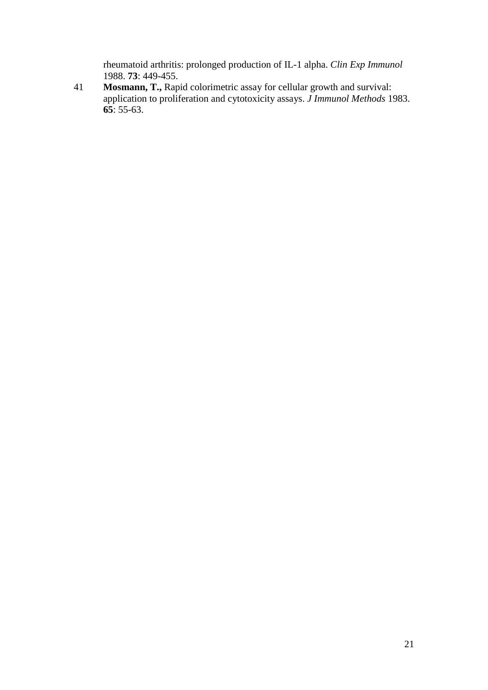rheumatoid arthritis: prolonged production of IL-1 alpha. *Clin Exp Immunol* 1988. **73**: 449-455.

<span id="page-20-0"></span>41 **Mosmann, T.,** Rapid colorimetric assay for cellular growth and survival: application to proliferation and cytotoxicity assays. *J Immunol Methods* 1983. **65**: 55-63.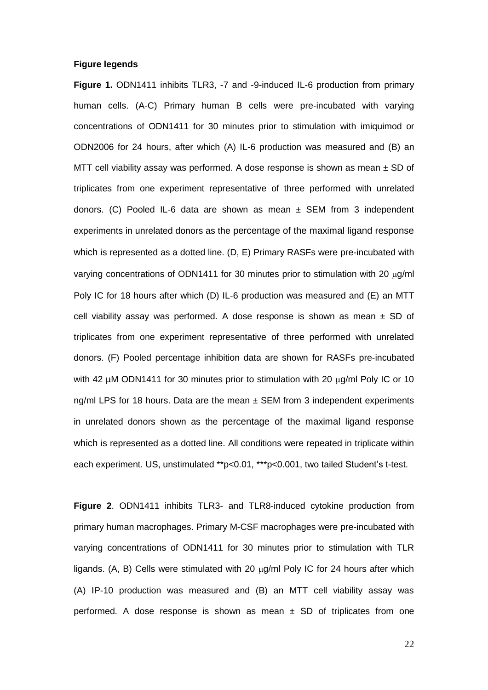## **Figure legends**

**Figure 1.** ODN1411 inhibits TLR3, -7 and -9-induced IL-6 production from primary human cells. (A-C) Primary human B cells were pre-incubated with varying concentrations of ODN1411 for 30 minutes prior to stimulation with imiquimod or ODN2006 for 24 hours, after which (A) IL-6 production was measured and (B) an MTT cell viability assay was performed. A dose response is shown as mean  $\pm$  SD of triplicates from one experiment representative of three performed with unrelated donors. (C) Pooled IL-6 data are shown as mean  $\pm$  SEM from 3 independent experiments in unrelated donors as the percentage of the maximal ligand response which is represented as a dotted line. (D, E) Primary RASFs were pre-incubated with varying concentrations of ODN1411 for 30 minutes prior to stimulation with 20  $\mu$ q/ml Poly IC for 18 hours after which (D) IL-6 production was measured and (E) an MTT cell viability assay was performed. A dose response is shown as mean  $\pm$  SD of triplicates from one experiment representative of three performed with unrelated donors. (F) Pooled percentage inhibition data are shown for RASFs pre-incubated with 42  $\mu$ M ODN1411 for 30 minutes prior to stimulation with 20  $\mu$ g/ml Poly IC or 10 ng/ml LPS for 18 hours. Data are the mean  $\pm$  SEM from 3 independent experiments in unrelated donors shown as the percentage of the maximal ligand response which is represented as a dotted line. All conditions were repeated in triplicate within each experiment. US, unstimulated \*\*p<0.01, \*\*\*p<0.001, two tailed Student's t-test.

**Figure 2**. ODN1411 inhibits TLR3- and TLR8-induced cytokine production from primary human macrophages. Primary M-CSF macrophages were pre-incubated with varying concentrations of ODN1411 for 30 minutes prior to stimulation with TLR ligands. (A, B) Cells were stimulated with 20  $\mu$ g/ml Poly IC for 24 hours after which (A) IP-10 production was measured and (B) an MTT cell viability assay was performed. A dose response is shown as mean  $\pm$  SD of triplicates from one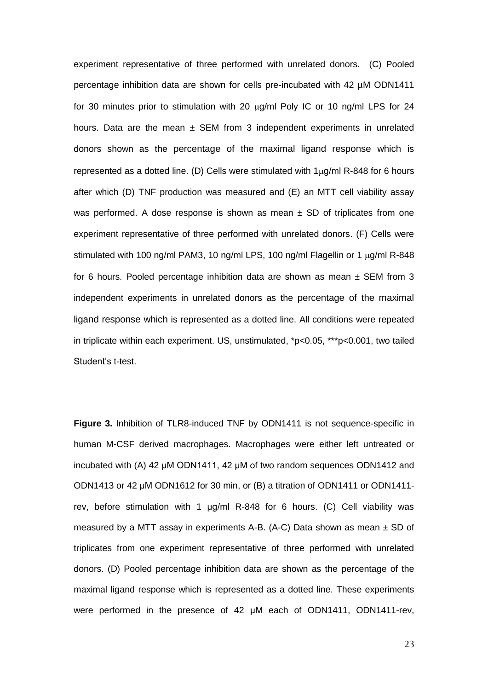experiment representative of three performed with unrelated donors. (C) Pooled percentage inhibition data are shown for cells pre-incubated with 42 µM ODN1411 for 30 minutes prior to stimulation with 20  $\mu$ g/ml Poly IC or 10 ng/ml LPS for 24 hours. Data are the mean  $\pm$  SEM from 3 independent experiments in unrelated donors shown as the percentage of the maximal ligand response which is represented as a dotted line. (D) Cells were stimulated with  $1\mu q/ml$  R-848 for 6 hours after which (D) TNF production was measured and (E) an MTT cell viability assay was performed. A dose response is shown as mean  $\pm$  SD of triplicates from one experiment representative of three performed with unrelated donors. (F) Cells were stimulated with 100 ng/ml PAM3, 10 ng/ml LPS, 100 ng/ml Flagellin or 1  $\mu$ g/ml R-848 for 6 hours. Pooled percentage inhibition data are shown as mean  $\pm$  SEM from 3 independent experiments in unrelated donors as the percentage of the maximal ligand response which is represented as a dotted line. All conditions were repeated in triplicate within each experiment. US, unstimulated, \*p<0.05, \*\*\*p<0.001, two tailed Student's t-test.

**Figure 3.** Inhibition of TLR8-induced TNF by ODN1411 is not sequence-specific in human M-CSF derived macrophages. Macrophages were either left untreated or incubated with (A) 42 μM ODN1411, 42 μM of two random sequences ODN1412 and ODN1413 or 42 μM ODN1612 for 30 min, or (B) a titration of ODN1411 or ODN1411 rev, before stimulation with 1 μg/ml R-848 for 6 hours. (C) Cell viability was measured by a MTT assay in experiments A-B. (A-C) Data shown as mean  $\pm$  SD of triplicates from one experiment representative of three performed with unrelated donors. (D) Pooled percentage inhibition data are shown as the percentage of the maximal ligand response which is represented as a dotted line. These experiments were performed in the presence of 42 μM each of ODN1411, ODN1411-rev,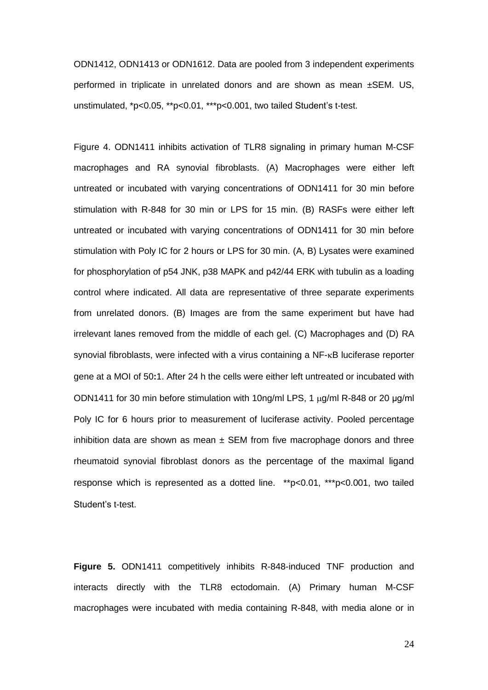ODN1412, ODN1413 or ODN1612. Data are pooled from 3 independent experiments performed in triplicate in unrelated donors and are shown as mean ±SEM. US, unstimulated, \*p<0.05, \*\*p<0.01, \*\*\*p<0.001, two tailed Student's t-test.

Figure 4. ODN1411 inhibits activation of TLR8 signaling in primary human M-CSF macrophages and RA synovial fibroblasts. (A) Macrophages were either left untreated or incubated with varying concentrations of ODN1411 for 30 min before stimulation with R-848 for 30 min or LPS for 15 min. (B) RASFs were either left untreated or incubated with varying concentrations of ODN1411 for 30 min before stimulation with Poly IC for 2 hours or LPS for 30 min. (A, B) Lysates were examined for phosphorylation of p54 JNK, p38 MAPK and p42/44 ERK with tubulin as a loading control where indicated. All data are representative of three separate experiments from unrelated donors. (B) Images are from the same experiment but have had irrelevant lanes removed from the middle of each gel. (C) Macrophages and (D) RA synovial fibroblasts, were infected with a virus containing a  $NF$ - $\kappa$ B luciferase reporter gene at a MOI of 50**:**1. After 24 h the cells were either left untreated or incubated with ODN1411 for 30 min before stimulation with 10ng/ml LPS, 1  $\mu$ g/ml R-848 or 20  $\mu$ g/ml Poly IC for 6 hours prior to measurement of luciferase activity. Pooled percentage inhibition data are shown as mean  $\pm$  SEM from five macrophage donors and three rheumatoid synovial fibroblast donors as the percentage of the maximal ligand response which is represented as a dotted line. \*\*p<0.01, \*\*\*p<0.001, two tailed Student's t-test.

**Figure 5.** ODN1411 competitively inhibits R-848-induced TNF production and interacts directly with the TLR8 ectodomain. (A) Primary human M-CSF macrophages were incubated with media containing R-848, with media alone or in